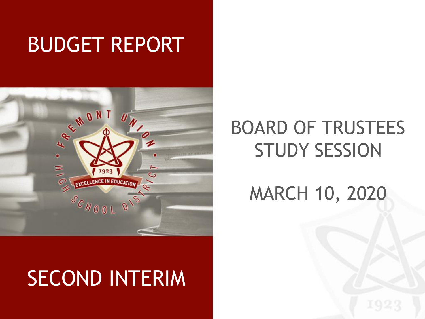# BUDGET REPORT



# SECOND INTERIM

## BOARD OF TRUSTEES STUDY SESSION

MARCH 10, 2020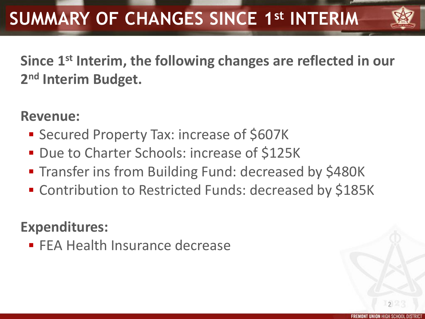

**Since 1st Interim, the following changes are reflected in our 2 nd Interim Budget.**

### **Revenue:**

- Secured Property Tax: increase of \$607K
- **Due to Charter Schools: increase of \$125K**
- **The Transfer ins from Building Fund: decreased by \$480K**
- Contribution to Restricted Funds: decreased by \$185K

### **Expenditures:**

**FEA Health Insurance decrease**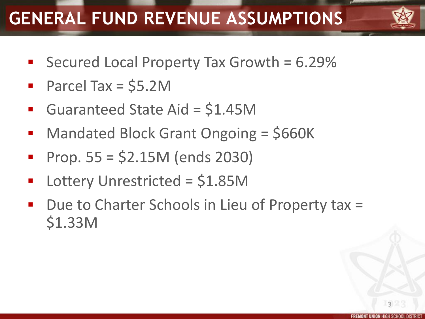## **GENERAL FUND REVENUE ASSUMPTIONS**



- Secured Local Property Tax Growth = 6.29%
- Parcel Tax = \$5.2M
- Guaranteed State Aid = \$1.45M
- Mandated Block Grant Ongoing = \$660K
- Prop. 55 = \$2.15M (ends 2030)
- Lottery Unrestricted = \$1.85M
- Due to Charter Schools in Lieu of Property tax = \$1.33M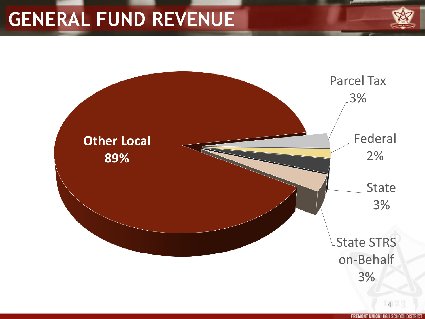## **GENERAL FUND REVENUE**





**FREMONT UNION HIGH SCHOOL DISTRIC**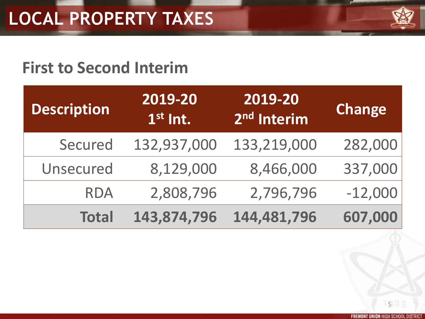

## **First to Second Interim**

| <b>Description</b> | 2019-20<br>$1st$ Int. | 2019-20<br>2 <sup>nd</sup> Interim | <b>Change</b> |
|--------------------|-----------------------|------------------------------------|---------------|
| Secured            | 132,937,000           | 133,219,000                        | 282,000       |
| Unsecured          | 8,129,000             | 8,466,000                          | 337,000       |
| <b>RDA</b>         | 2,808,796             | 2,796,796                          | $-12,000$     |
| <b>Total</b>       | 143,874,796           | 144,481,796                        | 607,000       |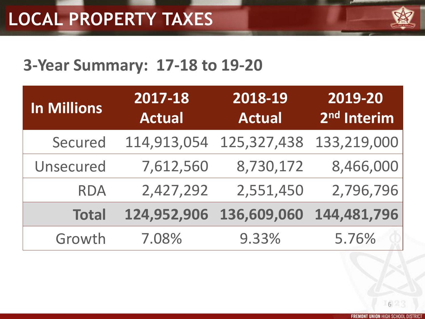

## **3-Year Summary: 17-18 to 19-20**

| <b>In Millions</b> | 2017-18<br><b>Actual</b> | 2018-19<br>Actual | 2019-20<br>2 <sup>nd</sup> Interim |
|--------------------|--------------------------|-------------------|------------------------------------|
| Secured            | 114,913,054              | 125,327,438       | 133,219,000                        |
| Unsecured          | 7,612,560                | 8,730,172         | 8,466,000                          |
| <b>RDA</b>         | 2,427,292                | 2,551,450         | 2,796,796                          |
| <b>Total</b>       | 124,952,906              | 136,609,060       | 144,481,796                        |
| Growth             | 7.08%                    | 9.33%             | 5.76%                              |

**FREMONT UNION HIGH SCHOOL DISTRICT**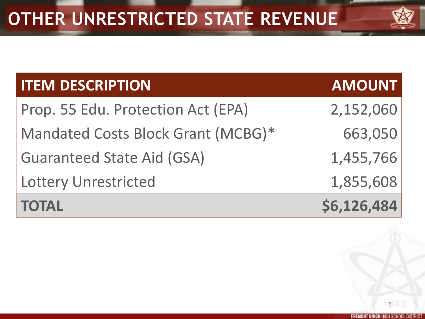| <b>MT H FRAC</b> |
|------------------|

| <b>ITEM DESCRIPTION</b>            | <b>AMOUNT</b> |
|------------------------------------|---------------|
| Prop. 55 Edu. Protection Act (EPA) | 2,152,060     |
| Mandated Costs Block Grant (MCBG)* | 663,050       |
| <b>Guaranteed State Aid (GSA)</b>  | 1,455,766     |
| <b>Lottery Unrestricted</b>        | 1,855,608     |
| <b>TOTAL</b>                       | \$6,126,484   |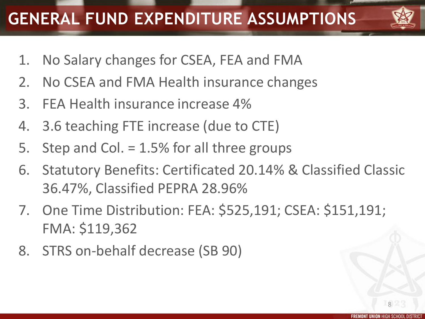## **GENERAL FUND EXPENDITURE ASSUMPTIONS**



- 1. No Salary changes for CSEA, FEA and FMA
- 2. No CSEA and FMA Health insurance changes
- 3. FEA Health insurance increase 4%
- 4. 3.6 teaching FTE increase (due to CTE)
- 5. Step and Col. = 1.5% for all three groups
- 6. Statutory Benefits: Certificated 20.14% & Classified Classic 36.47%, Classified PEPRA 28.96%
- 7. One Time Distribution: FEA: \$525,191; CSEA: \$151,191; FMA: \$119,362
- 8. STRS on-behalf decrease (SB 90)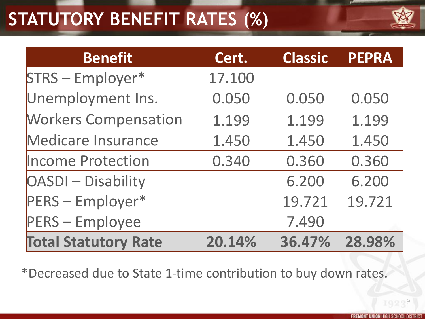## **STATUTORY BENEFIT RATES (%)**



| <b>Benefit</b>              | Cert.  | Classic | <b>PEPRA</b> |
|-----------------------------|--------|---------|--------------|
| STRS - Employer*            | 17.100 |         |              |
| Unemployment Ins.           | 0.050  | 0.050   | 0.050        |
| <b>Workers Compensation</b> | 1.199  | 1.199   | 1.199        |
| <b>Medicare Insurance</b>   | 1.450  | 1.450   | 1.450        |
| <b>Income Protection</b>    | 0.340  | 0.360   | 0.360        |
| <b>OASDI</b> - Disability   |        | 6.200   | 6.200        |
| PERS - Employer*            |        | 19.721  | 19.721       |
| <b>PERS</b> - Employee      |        | 7.490   |              |
| <b>Total Statutory Rate</b> | 20.14% | 36.47%  | 28.98%       |

\*Decreased due to State 1-time contribution to buy down rates.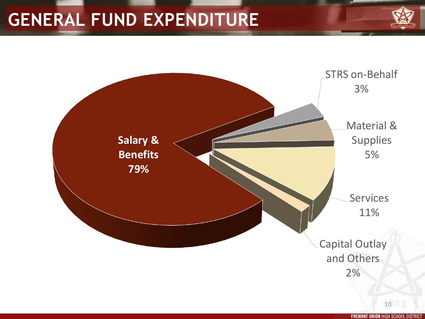## **GENERAL FUND EXPENDITURE**

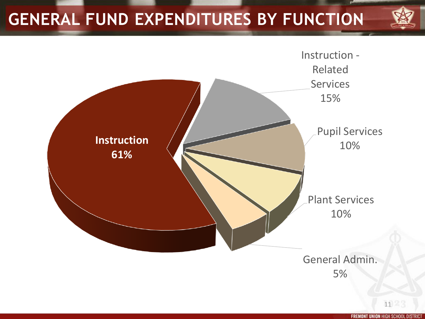## **GENERAL FUND EXPENDITURES BY FUNCTION**



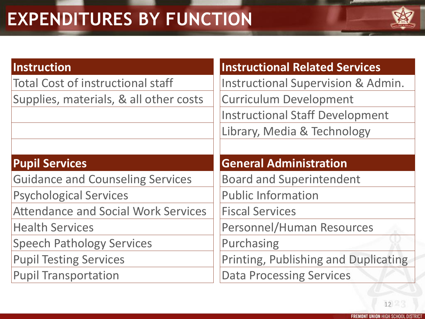## **EXPENDITURES BY FUNCTION**



### **Instruction**

Total Cost of instructional staff Supplies, materials, & all other costs

### **Pupil Services**

Guidance and Counseling Services

Psychological Services

Attendance and Social Work Services

Health Services

Speech Pathology Services

Pupil Testing Services

Pupil Transportation

### **Instructional Related Services**

Instructional Supervision & Admin. Curriculum Development Instructional Staff Development

Library, Media & Technology

### **General Administration**

Board and Superintendent

Public Information

Fiscal Services

Personnel/Human Resources

Purchasing

Printing, Publishing and Duplicating

Data Processing Services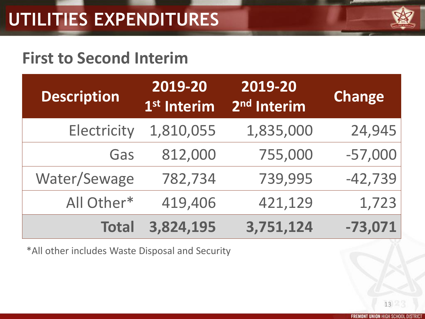

### **First to Second Interim**

| <b>Description</b> | 2019-20<br>1 <sup>st</sup> Interim | 2019-20<br>2 <sup>nd</sup> Interim | <b>Change</b> |
|--------------------|------------------------------------|------------------------------------|---------------|
| Electricity        | 1,810,055                          | 1,835,000                          | 24,945        |
| Gas                | 812,000                            | 755,000                            | $-57,000$     |
| Water/Sewage       | 782,734                            | 739,995                            | $-42,739$     |
| All Other*         | 419,406                            | 421,129                            | 1,723         |
| <b>Total</b>       | 3,824,195                          | 3,751,124                          | $-73,071$     |

\*All other includes Waste Disposal and Security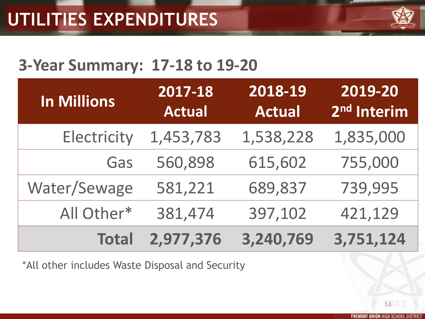

### **3-Year Summary: 17-18 to 19-20**

| In Millions  | 2017-18<br><b>Actual</b> | 2018-19<br><b>Actual</b> | 2019-20<br>2 <sup>nd</sup> Interim |
|--------------|--------------------------|--------------------------|------------------------------------|
| Electricity  | 1,453,783                | 1,538,228                | 1,835,000                          |
| Gas          | 560,898                  | 615,602                  | 755,000                            |
| Water/Sewage | 581,221                  | 689,837                  | 739,995                            |
| All Other*   | 381,474                  | 397,102                  | 421,129                            |
| <b>Total</b> | 2,977,376                | 3,240,769                | 3,751,124                          |

\*All other includes Waste Disposal and Security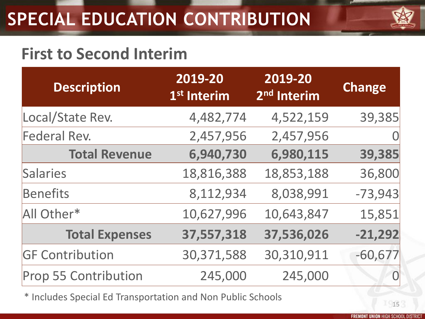# **SPECIAL EDUCATION CONTRIBUTION**



## **First to Second Interim**

| <b>Description</b>     | 2019-20<br>1 <sup>st</sup> Interim | 2019-20<br>2 <sup>nd</sup> Interim | <b>Change</b>     |
|------------------------|------------------------------------|------------------------------------|-------------------|
| Local/State Rev.       | 4,482,774                          | 4,522,159                          | 39,385            |
| Federal Rev.           | 2,457,956                          | 2,457,956                          |                   |
| <b>Total Revenue</b>   | 6,940,730                          | 6,980,115                          | 39,385            |
| Salaries               | 18,816,388                         | 18,853,188                         | 36,800            |
| <b>Benefits</b>        | 8,112,934                          | 8,038,991                          | $-73,943$         |
| All Other*             | 10,627,996                         | 10,643,847                         | 15,851            |
| <b>Total Expenses</b>  | 37,557,318                         | 37,536,026                         | $-21,292$         |
| <b>GF Contribution</b> | 30,371,588                         | 30,310,911                         | $-60,677$         |
| Prop 55 Contribution   | 245,000                            | 245,000                            | $\bm{\mathsf{O}}$ |

\* Includes Special Ed Transportation and Non Public Schools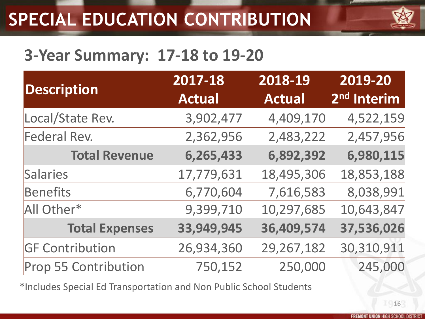## **SPECIAL EDUCATION CONTRIBUTION**

## **3-Year Summary: 17-18 to 19-20**

| <b>Description</b>     | 2017-18<br><b>Actual</b> | 2018-19<br><b>Actual</b> | 2019-20<br>2 <sup>nd</sup> Interim |
|------------------------|--------------------------|--------------------------|------------------------------------|
| Local/State Rev.       | 3,902,477                | 4,409,170                | 4,522,159                          |
| Federal Rev.           | 2,362,956                | 2,483,222                | 2,457,956                          |
| <b>Total Revenue</b>   | 6,265,433                | 6,892,392                | 6,980,115                          |
| Salaries               | 17,779,631               | 18,495,306               | 18,853,188                         |
| Benefits               | 6,770,604                | 7,616,583                | 8,038,991                          |
| All Other*             | 9,399,710                | 10,297,685               | 10,643,847                         |
| <b>Total Expenses</b>  | 33,949,945               | 36,409,574               | 37,536,026                         |
| <b>GF Contribution</b> | 26,934,360               | 29,267,182               | 30,310,911                         |
| Prop 55 Contribution   | 750,152                  | 250,000                  | 245,000                            |

\*Includes Special Ed Transportation and Non Public School Students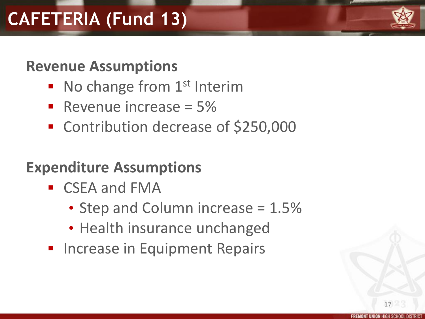## **CAFETERIA (Fund 13)**

### **Revenue Assumptions**

- No change from 1<sup>st</sup> Interim
- Revenue increase  $= 5\%$
- Contribution decrease of \$250,000

## **Expenditure Assumptions**

- CSEA and FMA
	- Step and Column increase = 1.5%
	- Health insurance unchanged
- **Increase in Equipment Repairs**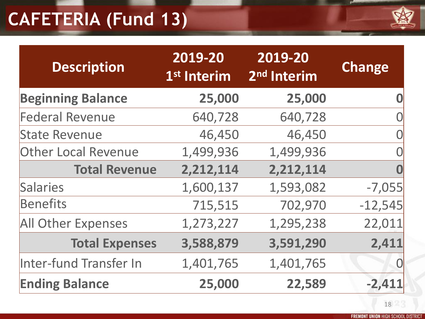## **CAFETERIA (Fund 13)**



| <b>Description</b>         | 2019-20<br>1 <sup>st</sup> Interim | 2019-20<br>2 <sup>nd</sup> Interim | <b>Change</b> |
|----------------------------|------------------------------------|------------------------------------|---------------|
| <b>Beginning Balance</b>   | 25,000                             | 25,000                             |               |
| <b>Federal Revenue</b>     | 640,728                            | 640,728                            |               |
| <b>State Revenue</b>       | 46,450                             | 46,450                             |               |
| <b>Other Local Revenue</b> | 1,499,936                          | 1,499,936                          |               |
| <b>Total Revenue</b>       | 2,212,114                          | 2,212,114                          |               |
| Salaries                   | 1,600,137                          | 1,593,082                          | $-7,055$      |
| <b>Benefits</b>            | 715,515                            | 702,970                            | $-12,545$     |
| <b>All Other Expenses</b>  | 1,273,227                          | 1,295,238                          | 22,011        |
| <b>Total Expenses</b>      | 3,588,879                          | 3,591,290                          | 2,411         |
| Inter-fund Transfer In     | 1,401,765                          | 1,401,765                          | 0             |
| <b>Ending Balance</b>      | 25,000                             | 22,589                             | $-2,411$      |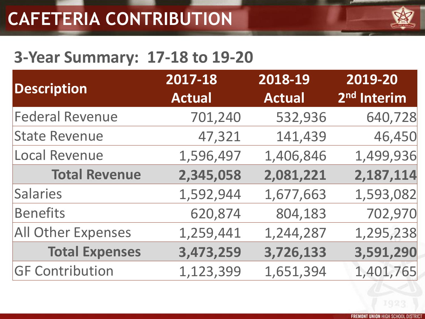

## **3-Year Summary: 17-18 to 19-20**

| <b>Description</b>        | 2017-18<br><b>Actual</b> | 2018-19<br><b>Actual</b> | 2019-20<br>2 <sup>nd</sup> Interim |
|---------------------------|--------------------------|--------------------------|------------------------------------|
| <b>Federal Revenue</b>    | 701,240                  | 532,936                  | 640,728                            |
| <b>State Revenue</b>      | 47,321                   | 141,439                  | 46,450                             |
| Local Revenue             | 1,596,497                | 1,406,846                | 1,499,936                          |
| <b>Total Revenue</b>      | 2,345,058                | 2,081,221                | 2,187,114                          |
| Salaries                  | 1,592,944                | 1,677,663                | 1,593,082                          |
| Benefits                  | 620,874                  | 804,183                  | 702,970                            |
| <b>All Other Expenses</b> | 1,259,441                | 1,244,287                | 1,295,238                          |
| <b>Total Expenses</b>     | 3,473,259                | 3,726,133                | 3,591,290                          |
| <b>GF Contribution</b>    | 1,123,399                | 1,651,394                | 1,401,765                          |
|                           |                          |                          |                                    |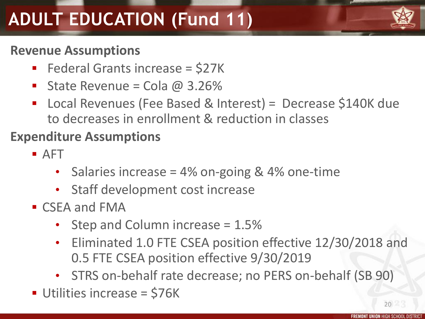# **ADULT EDUCATION (Fund 11)**

### **Revenue Assumptions**

- Federal Grants increase =  $$27K$
- State Revenue = Cola  $@$  3.26%
- Local Revenues (Fee Based & Interest) = Decrease \$140K due to decreases in enrollment & reduction in classes

### **Expenditure Assumptions**

- $\blacksquare$  AFT
	- Salaries increase =  $4\%$  on-going &  $4\%$  one-time
	- Staff development cost increase
- CSEA and FMA
	- Step and Column increase = 1.5%
	- Eliminated 1.0 FTE CSEA position effective 12/30/2018 and 0.5 FTE CSEA position effective 9/30/2019
	- STRS on-behalf rate decrease; no PERS on-behalf (SB 90)
- Utilities increase = \$76K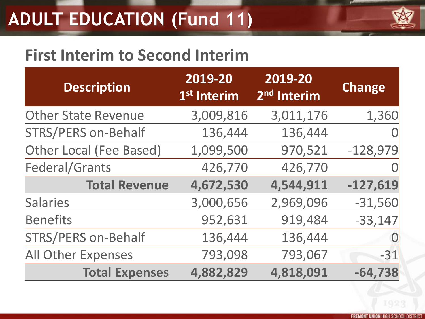## **ADULT EDUCATION (Fund 11)**



## **First Interim to Second Interim**

| <b>Description</b>         | 2019-20<br>1 <sup>st</sup> Interim | 2019-20<br>2 <sup>nd</sup> Interim | <b>Change</b> |
|----------------------------|------------------------------------|------------------------------------|---------------|
| <b>Other State Revenue</b> | 3,009,816                          | 3,011,176                          | 1,360         |
| STRS/PERS on-Behalf        | 136,444                            | 136,444                            |               |
| Other Local (Fee Based)    | 1,099,500                          | 970,521                            | $-128,979$    |
| Federal/Grants             | 426,770                            | 426,770                            |               |
| <b>Total Revenue</b>       | 4,672,530                          | 4,544,911                          | $-127,619$    |
| Salaries                   | 3,000,656                          | 2,969,096                          | $-31,560$     |
| Benefits                   | 952,631                            | 919,484                            | $-33,147$     |
| STRS/PERS on-Behalf        | 136,444                            | 136,444                            |               |
| <b>All Other Expenses</b>  | 793,098                            | 793,067                            | $-31$         |
| <b>Total Expenses</b>      | 4,882,829                          | 4,818,091                          | $-64,738$     |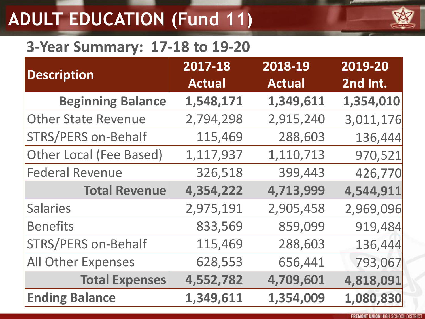# **ADULT EDUCATION (Fund 11)**

### **3-Year Summary: 17-18 to 19-20**

| <b>Description</b>             | 2017-18<br><b>Actual</b> | 2018-19<br><b>Actual</b> | 2019-20<br>2nd Int. |
|--------------------------------|--------------------------|--------------------------|---------------------|
| <b>Beginning Balance</b>       | 1,548,171                | 1,349,611                | 1,354,010           |
| <b>Other State Revenue</b>     | 2,794,298                | 2,915,240                | 3,011,176           |
| <b>STRS/PERS on-Behalf</b>     | 115,469                  | 288,603                  | 136,444             |
| <b>Other Local (Fee Based)</b> | 1,117,937                | 1,110,713                | 970,521             |
| <b>Federal Revenue</b>         | 326,518                  | 399,443                  | 426,770             |
| <b>Total Revenue</b>           | 4,354,222                | 4,713,999                | 4,544,911           |
| <b>Salaries</b>                | 2,975,191                | 2,905,458                | 2,969,096           |
| <b>Benefits</b>                | 833,569                  | 859,099                  | 919,484             |
| <b>STRS/PERS on-Behalf</b>     | 115,469                  | 288,603                  | 136,444             |
| All Other Expenses             | 628,553                  | 656,441                  | 793,067             |
| <b>Total Expenses</b>          | 4,552,782                | 4,709,601                | 4,818,091           |
| <b>Ending Balance</b>          | 1,349,611                | 1,354,009                | 1,080,830           |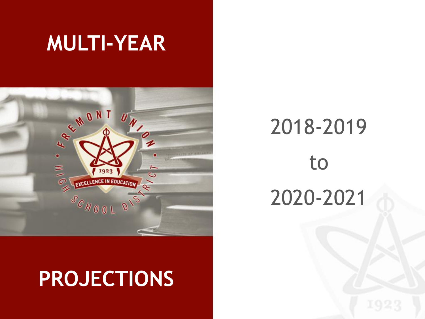# **MULTI-YEAR**



# **PROJECTIONS**

# 2018-2019 to 2020-2021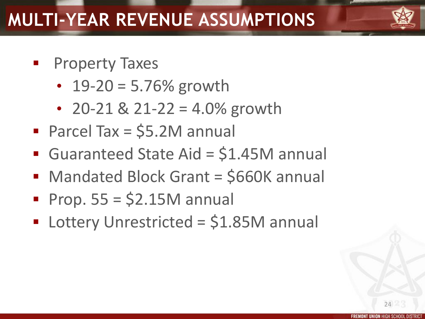## **MULTI-YEAR REVENUE ASSUMPTIONS**

- Property Taxes
	- $19 20 = 5.76\%$  growth
	- 20-21 & 21-22 = 4.0% growth
- Parcel Tax = \$5.2M annual
- Guaranteed State Aid = \$1.45M annual
- Mandated Block Grant = \$660K annual
- Prop.  $55 = $2.15M$  annual
- Lottery Unrestricted = \$1.85M annual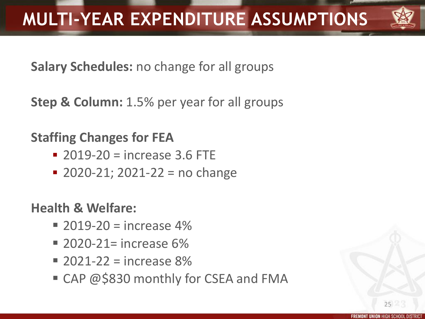

**Salary Schedules:** no change for all groups

**Step & Column:** 1.5% per year for all groups

### **Staffing Changes for FEA**

- $\blacksquare$  2019-20 = increase 3.6 FTE
- $\blacksquare$  2020-21; 2021-22 = no change

**Health & Welfare:** 

- $\blacksquare$  2019-20 = increase 4%
- $\blacksquare$  2020-21= increase 6%
- $= 2021 22 =$  increase 8%
- CAP @\$830 monthly for CSEA and FMA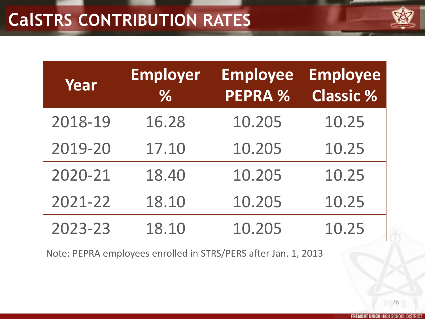| <b>LENCE IN FINITA</b> |  |
|------------------------|--|

| Year    | <b>Employer</b><br>% | <b>Employee</b><br><b>PEPRA %</b> | <b>Employee</b><br><b>Classic %</b> |
|---------|----------------------|-----------------------------------|-------------------------------------|
| 2018-19 | 16.28                | 10.205                            | 10.25                               |
| 2019-20 | 17.10                | 10.205                            | 10.25                               |
| 2020-21 | 18.40                | 10.205                            | 10.25                               |
| 2021-22 | 18.10                | 10.205                            | 10.25                               |
| 2023-23 | 18.10                | 10.205                            | 10.25                               |

Note: PEPRA employees enrolled in STRS/PERS after Jan. 1, 2013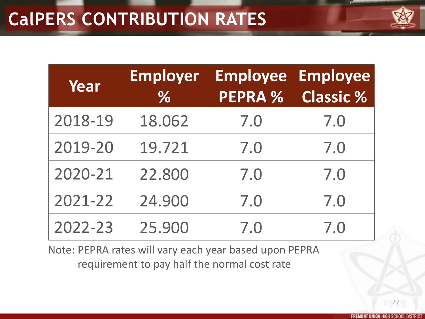| <b>ALENOT IN FINITA</b> |  |
|-------------------------|--|

| Year    | <b>Employer</b><br>$\%$ | PEPRA % | <b>Employee Employee</b><br><b>Classic %</b> |
|---------|-------------------------|---------|----------------------------------------------|
| 2018-19 | 18.062                  | 7.0     | 7.0                                          |
| 2019-20 | 19.721                  | 7.0     | 7.0                                          |
| 2020-21 | 22.800                  | 7.0     | 7.0                                          |
| 2021-22 | 24.900                  | 7.0     | 7.0                                          |
| 2022-23 | 25.900                  | 7.0     | 7.0                                          |

Note: PEPRA rates will vary each year based upon PEPRA requirement to pay half the normal cost rate

**FREMONT UNION HIGH SCHOOL DISTRI**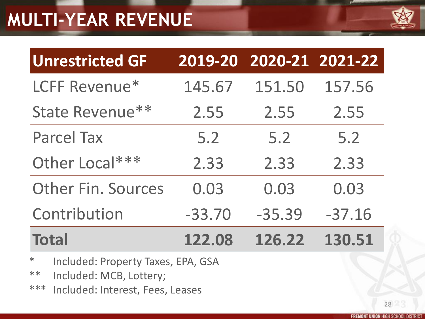## **MULTI-YEAR REVENUE**



| <b>Unrestricted GF</b>    |          | 2019-20 2020-21 2021-22 |          |
|---------------------------|----------|-------------------------|----------|
| LCFF Revenue*             | 145.67   | 151.50                  | 157.56   |
| State Revenue**           | 2.55     | 2.55                    | 2.55     |
| <b>Parcel Tax</b>         | 5.2      | 5.2                     | 5.2      |
| Other Local***            | 2.33     | 2.33                    | 2.33     |
| <b>Other Fin. Sources</b> | 0.03     | 0.03                    | 0.03     |
| Contribution              | $-33.70$ | $-35.39$                | $-37.16$ |
| <b>Total</b>              | 122.08   | 126.22                  | 130.51   |

- \* Included: Property Taxes, EPA, GSA
- \*\* Included: MCB, Lottery;
- \*\*\* Included: Interest, Fees, Leases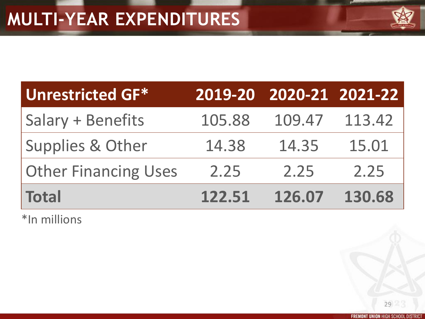| <b>NAME OF GROOM</b> |  |
|----------------------|--|

| <b>Unrestricted GF*</b>     |        | 2019-20 2020-21 2021-22 |        |
|-----------------------------|--------|-------------------------|--------|
| <b>Salary + Benefits</b>    | 105.88 | 109.47                  | 113.42 |
| <b>Supplies &amp; Other</b> | 14.38  | 14.35                   | 15.01  |
| <b>Other Financing Uses</b> | 2.25   | 2.25                    | 2.25   |
| <b>Total</b>                | 122.51 | 126.07                  | 130.68 |

\*In millions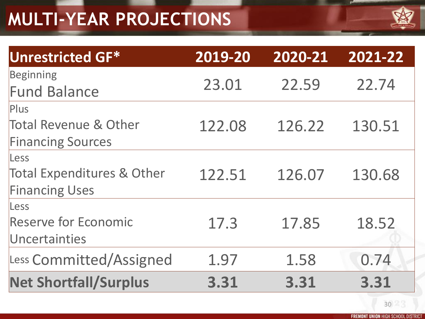## **MULTI-YEAR PROJECTIONS**



| <b>Unrestricted GF*</b>                                                     | 2019-20 | 2020-21 | 2021-22 |
|-----------------------------------------------------------------------------|---------|---------|---------|
| Beginning<br><b>Fund Balance</b>                                            | 23.01   | 22.59   | 22.74   |
| <b>Plus</b><br><b>Total Revenue &amp; Other</b><br><b>Financing Sources</b> | 122.08  | 126.22  | 130.51  |
| Less<br><b>Total Expenditures &amp; Other</b><br><b>Financing Uses</b>      | 122.51  | 126.07  | 130.68  |
| Less<br><b>Reserve for Economic</b><br>Uncertainties                        | 17.3    | 17.85   | 18.52   |
| Less Committed/Assigned                                                     | 1.97    | 1.58    | 0.74    |
| <b>Net Shortfall/Surplus</b>                                                | 3.31    | 3.31    | 3.31    |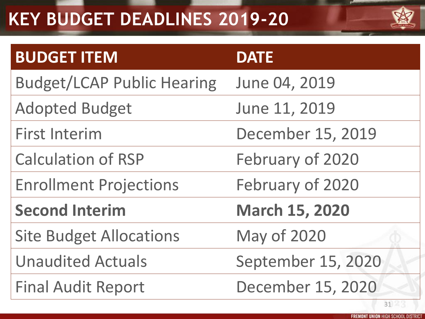## **KEY BUDGET DEADLINES 2019-20**



| <b>BUDGET ITEM</b>                | <b>DATE</b>           |
|-----------------------------------|-----------------------|
| <b>Budget/LCAP Public Hearing</b> | June 04, 2019         |
| <b>Adopted Budget</b>             | June 11, 2019         |
| <b>First Interim</b>              | December 15, 2019     |
| <b>Calculation of RSP</b>         | February of 2020      |
| <b>Enrollment Projections</b>     | February of 2020      |
| <b>Second Interim</b>             | <b>March 15, 2020</b> |
| <b>Site Budget Allocations</b>    | <b>May of 2020</b>    |
| <b>Unaudited Actuals</b>          | September 15, 2020    |
| <b>Final Audit Report</b>         | December 15, 2020     |
|                                   | 31                    |